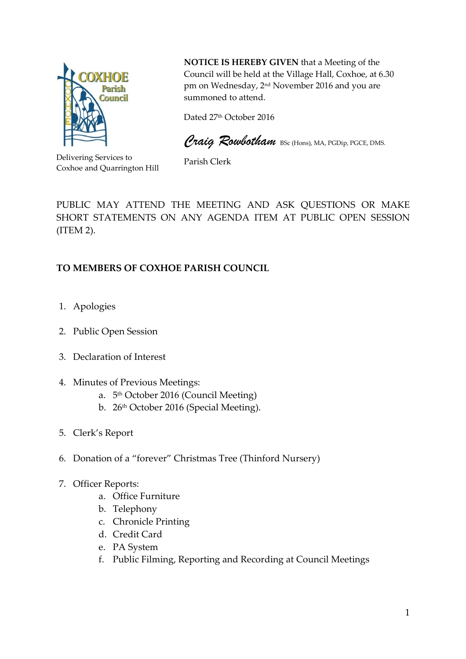

**NOTICE IS HEREBY GIVEN** that a Meeting of the Council will be held at the Village Hall, Coxhoe, at 6.30 pm on Wednesday, 2nd November 2016 and you are summoned to attend.

Dated 27th October 2016

*Craig Rowbotham* BSc (Hons), MA, PGDip, PGCE, DMS.

Delivering Services to Coxhoe and Quarrington Hill

Parish Clerk

PUBLIC MAY ATTEND THE MEETING AND ASK QUESTIONS OR MAKE SHORT STATEMENTS ON ANY AGENDA ITEM AT PUBLIC OPEN SESSION (ITEM 2).

## **TO MEMBERS OF COXHOE PARISH COUNCIL**

- 1. Apologies
- 2. Public Open Session
- 3. Declaration of Interest
- 4. Minutes of Previous Meetings:
	- a. 5 th October 2016 (Council Meeting)
	- b. 26<sup>th</sup> October 2016 (Special Meeting).
- 5. Clerk's Report
- 6. Donation of a "forever" Christmas Tree (Thinford Nursery)
- 7. Officer Reports:
	- a. Office Furniture
	- b. Telephony
	- c. Chronicle Printing
	- d. Credit Card
	- e. PA System
	- f. Public Filming, Reporting and Recording at Council Meetings